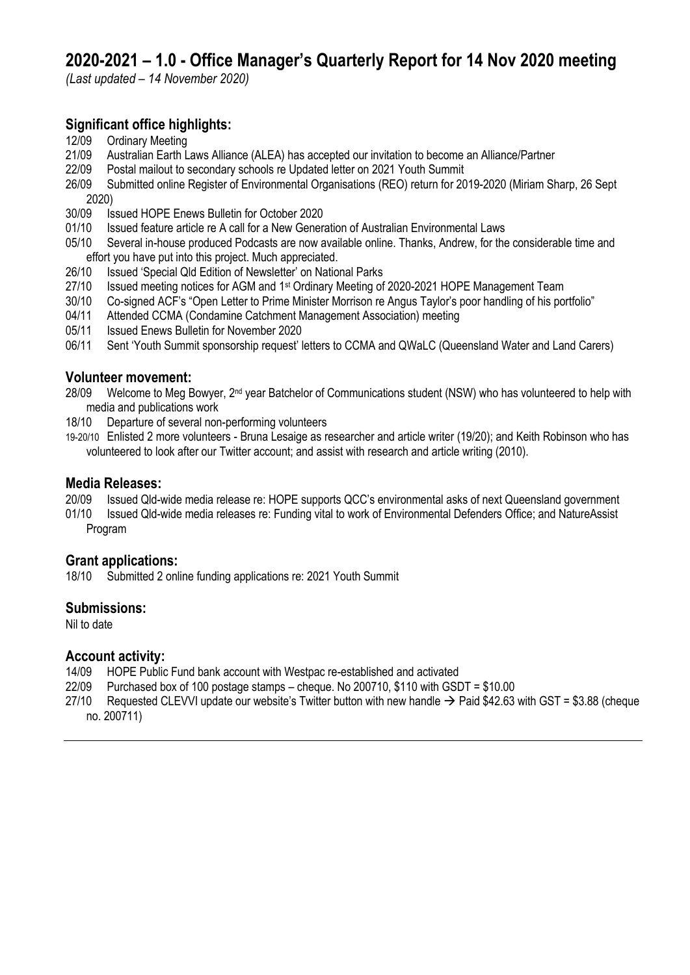# **2020-2021 – 1.0 - Office Manager's Quarterly Report for 14 Nov 2020 meeting**

*(Last updated – 14 November 2020)*

## **Significant office highlights:**

- 12/09 Ordinary Meeting
- 21/09 Australian Earth Laws Alliance (ALEA) has accepted our invitation to become an Alliance/Partner
- 22/09 Postal mailout to secondary schools re Updated letter on 2021 Youth Summit
- 26/09 Submitted online Register of Environmental Organisations (REO) return for 2019-2020 (Miriam Sharp, 26 Sept 2020)<br>1s 20/09
- 30/09 Issued HOPE Enews Bulletin for October 2020
- 01/10 Issued feature article re A call for a New Generation of Australian Environmental Laws
- 05/10 Several in-house produced Podcasts are now available online. Thanks, Andrew, for the considerable time and effort you have put into this project. Much appreciated.
- 26/10 Issued 'Special Qld Edition of Newsletter' on National Parks
- 27/10 Issued meeting notices for AGM and 1<sup>st</sup> Ordinary Meeting of 2020-2021 HOPE Management Team
- 30/10 Co-signed ACF's "Open Letter to Prime Minister Morrison re Angus Taylor's poor handling of his portfolio"
- 04/11 Attended CCMA (Condamine Catchment Management Association) meeting
- 05/11 Issued Enews Bulletin for November 2020
- 06/11 Sent 'Youth Summit sponsorship request' letters to CCMA and QWaLC (Queensland Water and Land Carers)

### **Volunteer movement:**

- 28/09 Welcome to Meg Bowyer, 2<sup>nd</sup> year Batchelor of Communications student (NSW) who has volunteered to help with media and publications work
- 18/10 Departure of several non-performing volunteers

19-20/10 Enlisted 2 more volunteers - Bruna Lesaige as researcher and article writer (19/20); and Keith Robinson who has volunteered to look after our Twitter account; and assist with research and article writing (2010).

### **Media Releases:**

- 20/09 Issued Qld-wide media release re: HOPE supports QCC's environmental asks of next Queensland government
- 01/10 Issued Qld-wide media releases re: Funding vital to work of Environmental Defenders Office; and NatureAssist Program

### **Grant applications:**

18/10 Submitted 2 online funding applications re: 2021 Youth Summit

### **Submissions:**

Nil to date

### **Account activity:**

- 14/09 HOPE Public Fund bank account with Westpac re-established and activated
- 22/09 Purchased box of 100 postage stamps cheque. No 200710, \$110 with GSDT = \$10.00
- 27/10 Requested CLEVVI update our website's Twitter button with new handle  $\rightarrow$  Paid \$42.63 with GST = \$3.88 (cheque no. 200711)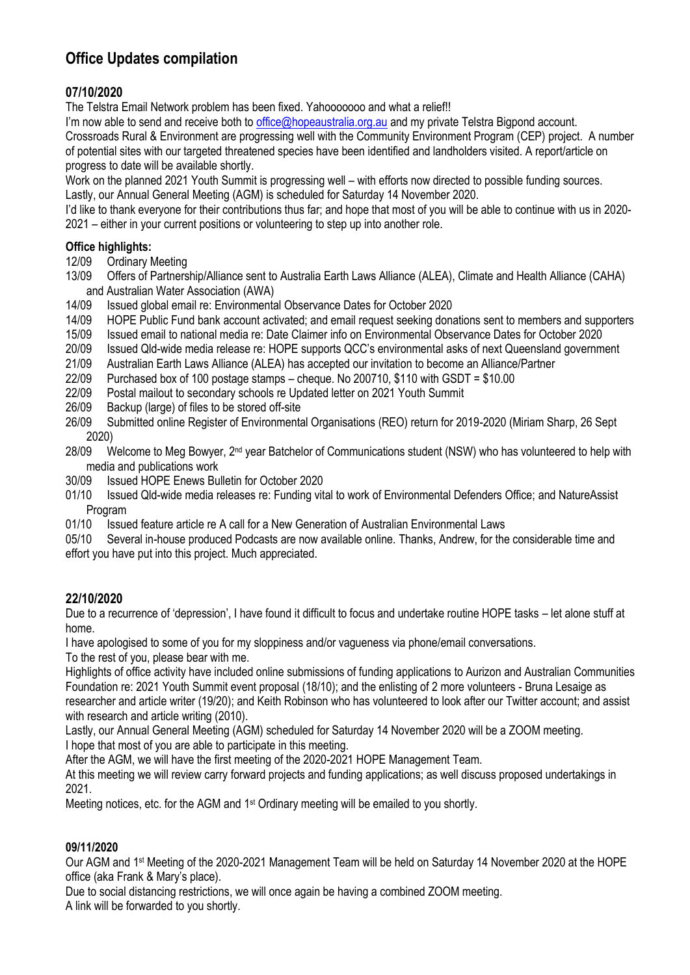## **Office Updates compilation**

## **07/10/2020**

The Telstra Email Network problem has been fixed. Yahooooooo and what a relief!!

I'm now able to send and receive both to [office@hopeaustralia.org.au](mailto:office@hopeaustralia.org.au) and my private Telstra Bigpond account.

Crossroads Rural & Environment are progressing well with the Community Environment Program (CEP) project. A number of potential sites with our targeted threatened species have been identified and landholders visited. A report/article on progress to date will be available shortly.

Work on the planned 2021 Youth Summit is progressing well – with efforts now directed to possible funding sources. Lastly, our Annual General Meeting (AGM) is scheduled for Saturday 14 November 2020.

I'd like to thank everyone for their contributions thus far; and hope that most of you will be able to continue with us in 2020- 2021 – either in your current positions or volunteering to step up into another role.

### **Office highlights:**

- 12/09 Ordinary Meeting
- 13/09 Offers of Partnership/Alliance sent to Australia Earth Laws Alliance (ALEA), Climate and Health Alliance (CAHA) and Australian Water Association (AWA)
- 14/09 Issued global email re: Environmental Observance Dates for October 2020
- 14/09 HOPE Public Fund bank account activated; and email request seeking donations sent to members and supporters
- 15/09 Issued email to national media re: Date Claimer info on Environmental Observance Dates for October 2020
- 20/09 Issued Qld-wide media release re: HOPE supports QCC's environmental asks of next Queensland government
- 21/09 Australian Earth Laws Alliance (ALEA) has accepted our invitation to become an Alliance/Partner
- 22/09 Purchased box of 100 postage stamps cheque. No 200710, \$110 with GSDT = \$10.00
- 22/09 Postal mailout to secondary schools re Updated letter on 2021 Youth Summit
- 26/09 Backup (large) of files to be stored off-site
- 26/09 Submitted online Register of Environmental Organisations (REO) return for 2019-2020 (Miriam Sharp, 26 Sept 2020)
- 28/09 Welcome to Meg Bowyer, 2<sup>nd</sup> year Batchelor of Communications student (NSW) who has volunteered to help with media and publications work
- 30/09 Issued HOPE Enews Bulletin for October 2020
- 01/10 Issued Qld-wide media releases re: Funding vital to work of Environmental Defenders Office; and NatureAssist Program
- 01/10 **Issued feature article re A call for a New Generation of Australian Environmental Laws**

05/10 Several in-house produced Podcasts are now available online. Thanks, Andrew, for the considerable time and effort you have put into this project. Much appreciated.

## **22/10/2020**

Due to a recurrence of 'depression', I have found it difficult to focus and undertake routine HOPE tasks – let alone stuff at home.

I have apologised to some of you for my sloppiness and/or vagueness via phone/email conversations.

To the rest of you, please bear with me.

Highlights of office activity have included online submissions of funding applications to Aurizon and Australian Communities Foundation re: 2021 Youth Summit event proposal (18/10); and the enlisting of 2 more volunteers - Bruna Lesaige as researcher and article writer (19/20); and Keith Robinson who has volunteered to look after our Twitter account; and assist with research and article writing (2010).

Lastly, our Annual General Meeting (AGM) scheduled for Saturday 14 November 2020 will be a ZOOM meeting.

I hope that most of you are able to participate in this meeting.

After the AGM, we will have the first meeting of the 2020-2021 HOPE Management Team.

At this meeting we will review carry forward projects and funding applications; as well discuss proposed undertakings in 2021.

Meeting notices, etc. for the AGM and 1<sup>st</sup> Ordinary meeting will be emailed to you shortly.

### **09/11/2020**

Our AGM and 1st Meeting of the 2020-2021 Management Team will be held on Saturday 14 November 2020 at the HOPE office (aka Frank & Mary's place).

Due to social distancing restrictions, we will once again be having a combined ZOOM meeting. A link will be forwarded to you shortly.